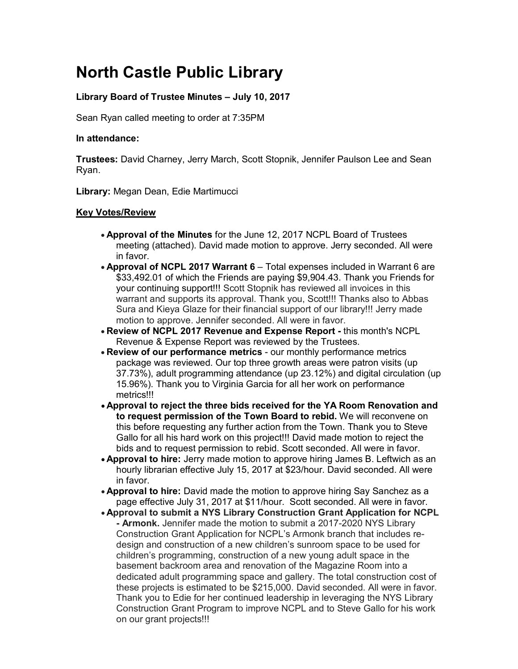# **North Castle Public Library**

# **Library Board of Trustee Minutes – July 10, 2017**

Sean Ryan called meeting to order at 7:35PM

## **In attendance:**

**Trustees:** David Charney, Jerry March, Scott Stopnik, Jennifer Paulson Lee and Sean Ryan.

**Library:** Megan Dean, Edie Martimucci

## **Key Votes/Review**

- **Approval of the Minutes** for the June 12, 2017 NCPL Board of Trustees meeting (attached). David made motion to approve. Jerry seconded. All were in favor.
- **Approval of NCPL 2017 Warrant 6** Total expenses included in Warrant 6 are \$33,492.01 of which the Friends are paying \$9,904.43. Thank you Friends for your continuing support!!! Scott Stopnik has reviewed all invoices in this warrant and supports its approval. Thank you, Scott!!! Thanks also to Abbas Sura and Kieya Glaze for their financial support of our library!!! Jerry made motion to approve. Jennifer seconded. All were in favor.
- **Review of NCPL 2017 Revenue and Expense Report -** this month's NCPL Revenue & Expense Report was reviewed by the Trustees.
- **Review of our performance metrics** our monthly performance metrics package was reviewed. Our top three growth areas were patron visits (up 37.73%), adult programming attendance (up 23.12%) and digital circulation (up 15.96%). Thank you to Virginia Garcia for all her work on performance metrics!!!
- **Approval to reject the three bids received for the YA Room Renovation and to request permission of the Town Board to rebid.** We will reconvene on this before requesting any further action from the Town. Thank you to Steve Gallo for all his hard work on this project!!! David made motion to reject the bids and to request permission to rebid. Scott seconded. All were in favor.
- **Approval to hire:** Jerry made motion to approve hiring James B. Leftwich as an hourly librarian effective July 15, 2017 at \$23/hour. David seconded. All were in favor.
- **Approval to hire:** David made the motion to approve hiring Say Sanchez as a page effective July 31, 2017 at \$11/hour. Scott seconded. All were in favor.
- **Approval to submit a NYS Library Construction Grant Application for NCPL - Armonk.** Jennifer made the motion to submit a 2017-2020 NYS Library Construction Grant Application for NCPL's Armonk branch that includes redesign and construction of a new children's sunroom space to be used for children's programming, construction of a new young adult space in the basement backroom area and renovation of the Magazine Room into a dedicated adult programming space and gallery. The total construction cost of these projects is estimated to be \$215,000. David seconded. All were in favor. Thank you to Edie for her continued leadership in leveraging the NYS Library Construction Grant Program to improve NCPL and to Steve Gallo for his work on our grant projects!!!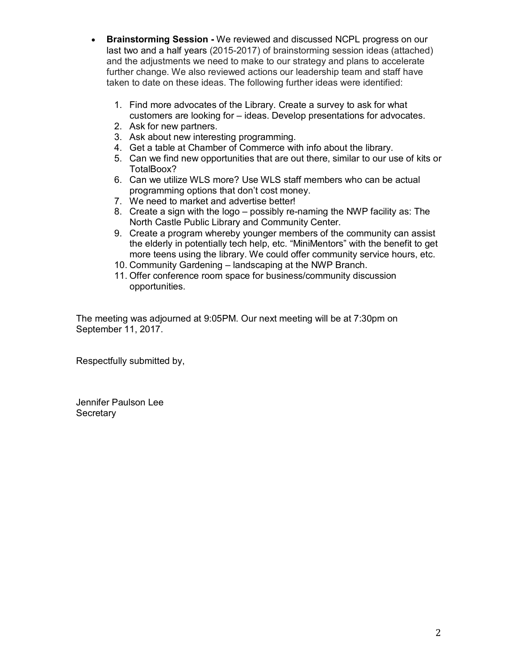- **Brainstorming Session -** We reviewed and discussed NCPL progress on our last two and a half years (2015-2017) of brainstorming session ideas (attached) and the adjustments we need to make to our strategy and plans to accelerate further change. We also reviewed actions our leadership team and staff have taken to date on these ideas. The following further ideas were identified:
	- 1. Find more advocates of the Library. Create a survey to ask for what customers are looking for – ideas. Develop presentations for advocates.
	- 2. Ask for new partners.
	- 3. Ask about new interesting programming.
	- 4. Get a table at Chamber of Commerce with info about the library.
	- 5. Can we find new opportunities that are out there, similar to our use of kits or TotalBoox?
	- 6. Can we utilize WLS more? Use WLS staff members who can be actual programming options that don't cost money.
	- 7. We need to market and advertise better!
	- 8. Create a sign with the logo possibly re-naming the NWP facility as: The North Castle Public Library and Community Center.
	- 9. Create a program whereby younger members of the community can assist the elderly in potentially tech help, etc. "MiniMentors" with the benefit to get more teens using the library. We could offer community service hours, etc.
	- 10. Community Gardening landscaping at the NWP Branch.
	- 11. Offer conference room space for business/community discussion opportunities.

The meeting was adjourned at 9:05PM. Our next meeting will be at 7:30pm on September 11, 2017.

Respectfully submitted by,

Jennifer Paulson Lee **Secretary**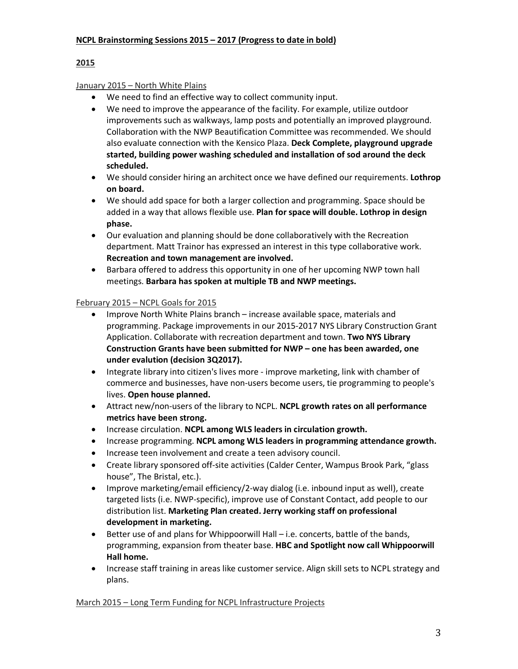# **2015**

# January 2015 – North White Plains

- We need to find an effective way to collect community input.
- We need to improve the appearance of the facility. For example, utilize outdoor improvements such as walkways, lamp posts and potentially an improved playground. Collaboration with the NWP Beautification Committee was recommended. We should also evaluate connection with the Kensico Plaza. **Deck Complete, playground upgrade started, building power washing scheduled and installation of sod around the deck scheduled.**
- We should consider hiring an architect once we have defined our requirements. **Lothrop on board.**
- We should add space for both a larger collection and programming. Space should be added in a way that allows flexible use. **Plan for space will double. Lothrop in design phase.**
- Our evaluation and planning should be done collaboratively with the Recreation department. Matt Trainor has expressed an interest in this type collaborative work. **Recreation and town management are involved.**
- Barbara offered to address this opportunity in one of her upcoming NWP town hall meetings. **Barbara has spoken at multiple TB and NWP meetings.**

# February 2015 – NCPL Goals for 2015

- Improve North White Plains branch increase available space, materials and programming. Package improvements in our 2015-2017 NYS Library Construction Grant Application. Collaborate with recreation department and town. **Two NYS Library Construction Grants have been submitted for NWP – one has been awarded, one under evalution (decision 3Q2017).**
- Integrate library into citizen's lives more improve marketing, link with chamber of commerce and businesses, have non-users become users, tie programming to people's lives. **Open house planned.**
- Attract new/non-users of the library to NCPL. **NCPL growth rates on all performance metrics have been strong.**
- Increase circulation. **NCPL among WLS leaders in circulation growth.**
- Increase programming. **NCPL among WLS leaders in programming attendance growth.**
- Increase teen involvement and create a teen advisory council.
- Create library sponsored off-site activities (Calder Center, Wampus Brook Park, "glass house", The Bristal, etc.).
- Improve marketing/email efficiency/2-way dialog (i.e. inbound input as well), create targeted lists (i.e. NWP-specific), improve use of Constant Contact, add people to our distribution list. **Marketing Plan created. Jerry working staff on professional development in marketing.**
- Better use of and plans for Whippoorwill Hall i.e. concerts, battle of the bands, programming, expansion from theater base. **HBC and Spotlight now call Whippoorwill Hall home.**
- Increase staff training in areas like customer service. Align skill sets to NCPL strategy and plans.

## March 2015 – Long Term Funding for NCPL Infrastructure Projects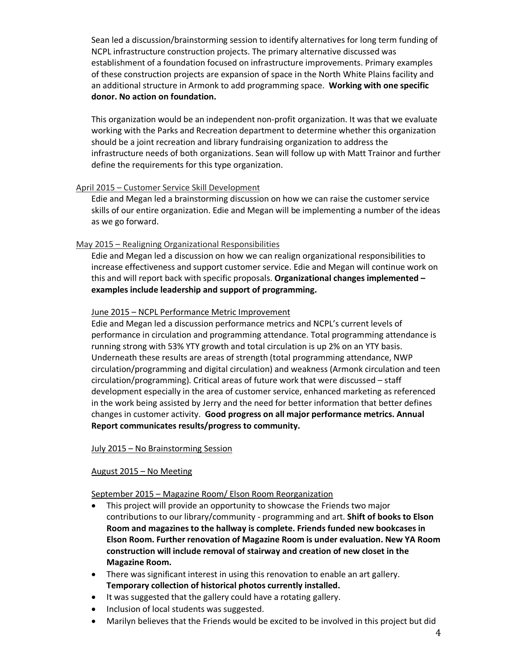Sean led a discussion/brainstorming session to identify alternatives for long term funding of NCPL infrastructure construction projects. The primary alternative discussed was establishment of a foundation focused on infrastructure improvements. Primary examples of these construction projects are expansion of space in the North White Plains facility and an additional structure in Armonk to add programming space. **Working with one specific donor. No action on foundation.**

This organization would be an independent non-profit organization. It was that we evaluate working with the Parks and Recreation department to determine whether this organization should be a joint recreation and library fundraising organization to address the infrastructure needs of both organizations. Sean will follow up with Matt Trainor and further define the requirements for this type organization.

#### April 2015 – Customer Service Skill Development

Edie and Megan led a brainstorming discussion on how we can raise the customer service skills of our entire organization. Edie and Megan will be implementing a number of the ideas as we go forward.

## May 2015 – Realigning Organizational Responsibilities

Edie and Megan led a discussion on how we can realign organizational responsibilities to increase effectiveness and support customer service. Edie and Megan will continue work on this and will report back with specific proposals. **Organizational changes implemented – examples include leadership and support of programming.**

#### June 2015 – NCPL Performance Metric Improvement

Edie and Megan led a discussion performance metrics and NCPL's current levels of performance in circulation and programming attendance. Total programming attendance is running strong with 53% YTY growth and total circulation is up 2% on an YTY basis. Underneath these results are areas of strength (total programming attendance, NWP circulation/programming and digital circulation) and weakness (Armonk circulation and teen circulation/programming). Critical areas of future work that were discussed – staff development especially in the area of customer service, enhanced marketing as referenced in the work being assisted by Jerry and the need for better information that better defines changes in customer activity. **Good progress on all major performance metrics. Annual Report communicates results/progress to community.**

#### July 2015 – No Brainstorming Session

## August 2015 – No Meeting

September 2015 – Magazine Room/ Elson Room Reorganization

- This project will provide an opportunity to showcase the Friends two major contributions to our library/community - programming and art. **Shift of books to Elson Room and magazines to the hallway is complete. Friends funded new bookcases in Elson Room. Further renovation of Magazine Room is under evaluation. New YA Room construction will include removal of stairway and creation of new closet in the Magazine Room.**
- There was significant interest in using this renovation to enable an art gallery. **Temporary collection of historical photos currently installed.**
- It was suggested that the gallery could have a rotating gallery.
- Inclusion of local students was suggested.
- Marilyn believes that the Friends would be excited to be involved in this project but did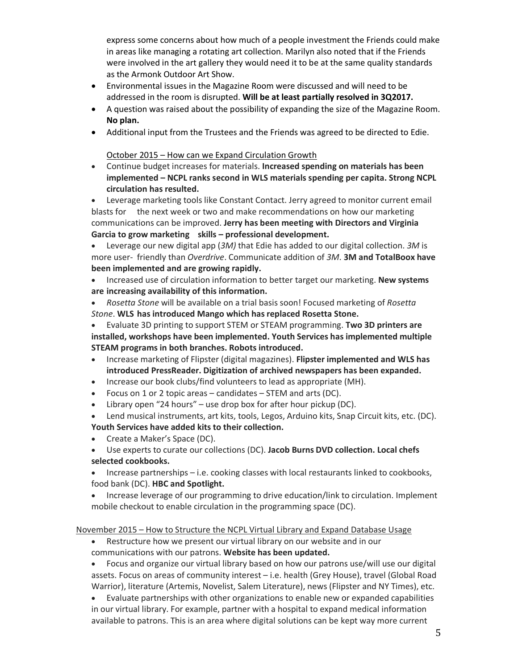express some concerns about how much of a people investment the Friends could make in areas like managing a rotating art collection. Marilyn also noted that if the Friends were involved in the art gallery they would need it to be at the same quality standards as the Armonk Outdoor Art Show.

- Environmental issues in the Magazine Room were discussed and will need to be addressed in the room is disrupted. **Will be at least partially resolved in 3Q2017.**
- A question was raised about the possibility of expanding the size of the Magazine Room. **No plan.**
- Additional input from the Trustees and the Friends was agreed to be directed to Edie.

October 2015 – How can we Expand Circulation Growth

• Continue budget increases for materials. **Increased spending on materials has been implemented – NCPL ranks second in WLS materials spending per capita. Strong NCPL circulation has resulted.** 

• Leverage marketing tools like Constant Contact. Jerry agreed to monitor current email blasts for the next week or two and make recommendations on how our marketing communications can be improved. **Jerry has been meeting with Directors and Virginia Garcia to grow marketing skills – professional development.**

• Leverage our new digital app (*3M)* that Edie has added to our digital collection. *3M* is more user- friendly than *Overdrive*. Communicate addition of *3M*. **3M and TotalBoox have been implemented and are growing rapidly.**

- Increased use of circulation information to better target our marketing. **New systems are increasing availability of this information.**
- *Rosetta Stone* will be available on a trial basis soon! Focused marketing of *Rosetta Stone*. **WLS has introduced Mango which has replaced Rosetta Stone.**

• Evaluate 3D printing to support STEM or STEAM programming. **Two 3D printers are installed, workshops have been implemented. Youth Services has implemented multiple STEAM programs in both branches. Robots introduced.**

- Increase marketing of Flipster (digital magazines). **Flipster implemented and WLS has introduced PressReader. Digitization of archived newspapers has been expanded.**
- Increase our book clubs/find volunteers to lead as appropriate (MH).
- Focus on 1 or 2 topic areas candidates STEM and arts (DC).
- Library open "24 hours" use drop box for after hour pickup (DC).

• Lend musical instruments, art kits, tools, Legos, Arduino kits, Snap Circuit kits, etc. (DC).

# **Youth Services have added kits to their collection.**

- Create a Maker's Space (DC).
- Use experts to curate our collections (DC). **Jacob Burns DVD collection. Local chefs selected cookbooks.**
- Increase partnerships i.e. cooking classes with local restaurants linked to cookbooks, food bank (DC). **HBC and Spotlight.**
- Increase leverage of our programming to drive education/link to circulation. Implement mobile checkout to enable circulation in the programming space (DC).

## November 2015 – How to Structure the NCPL Virtual Library and Expand Database Usage

• Restructure how we present our virtual library on our website and in our communications with our patrons. **Website has been updated.**

• Focus and organize our virtual library based on how our patrons use/will use our digital assets. Focus on areas of community interest – i.e. health (Grey House), travel (Global Road Warrior), literature (Artemis, Novelist, Salem Literature), news (Flipster and NY Times), etc.

• Evaluate partnerships with other organizations to enable new or expanded capabilities in our virtual library. For example, partner with a hospital to expand medical information available to patrons. This is an area where digital solutions can be kept way more current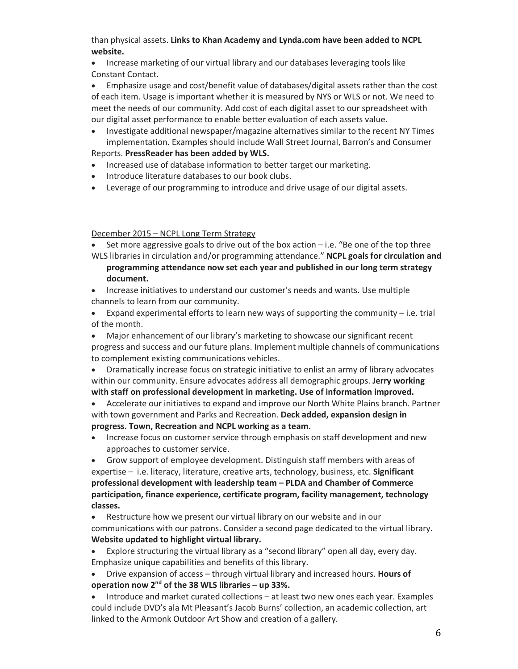than physical assets. **Links to Khan Academy and Lynda.com have been added to NCPL website.**

• Increase marketing of our virtual library and our databases leveraging tools like Constant Contact.

• Emphasize usage and cost/benefit value of databases/digital assets rather than the cost of each item. Usage is important whether it is measured by NYS or WLS or not. We need to meet the needs of our community. Add cost of each digital asset to our spreadsheet with our digital asset performance to enable better evaluation of each assets value.

• Investigate additional newspaper/magazine alternatives similar to the recent NY Times implementation. Examples should include Wall Street Journal, Barron's and Consumer

## Reports. **PressReader has been added by WLS.**

- Increased use of database information to better target our marketing.
- Introduce literature databases to our book clubs.
- Leverage of our programming to introduce and drive usage of our digital assets.

## December 2015 – NCPL Long Term Strategy

• Set more aggressive goals to drive out of the box action  $-i.e.$  "Be one of the top three WLS libraries in circulation and/or programming attendance." **NCPL goals for circulation and** 

- **programming attendance now set each year and published in our long term strategy document.**
- Increase initiatives to understand our customer's needs and wants. Use multiple channels to learn from our community.
- Expand experimental efforts to learn new ways of supporting the community i.e. trial of the month.

• Major enhancement of our library's marketing to showcase our significant recent progress and success and our future plans. Implement multiple channels of communications to complement existing communications vehicles.

• Dramatically increase focus on strategic initiative to enlist an army of library advocates within our community. Ensure advocates address all demographic groups. **Jerry working with staff on professional development in marketing. Use of information improved.**

- Accelerate our initiatives to expand and improve our North White Plains branch. Partner with town government and Parks and Recreation. **Deck added, expansion design in progress. Town, Recreation and NCPL working as a team.**
- Increase focus on customer service through emphasis on staff development and new approaches to customer service.

• Grow support of employee development. Distinguish staff members with areas of expertise – i.e. literacy, literature, creative arts, technology, business, etc. **Significant professional development with leadership team – PLDA and Chamber of Commerce participation, finance experience, certificate program, facility management, technology classes.**

• Restructure how we present our virtual library on our website and in our communications with our patrons. Consider a second page dedicated to the virtual library. **Website updated to highlight virtual library.**

- Explore structuring the virtual library as a "second library" open all day, every day. Emphasize unique capabilities and benefits of this library.
- Drive expansion of access through virtual library and increased hours. **Hours of operation now 2nd of the 38 WLS libraries – up 33%.**
- Introduce and market curated collections at least two new ones each year. Examples could include DVD's ala Mt Pleasant's Jacob Burns' collection, an academic collection, art linked to the Armonk Outdoor Art Show and creation of a gallery.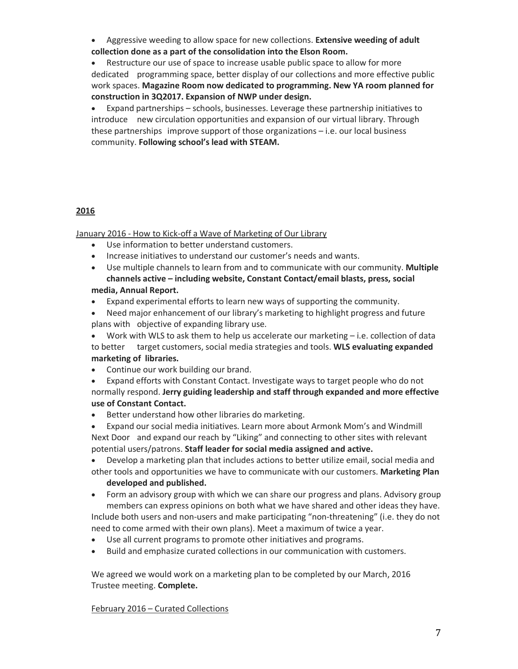• Aggressive weeding to allow space for new collections. **Extensive weeding of adult collection done as a part of the consolidation into the Elson Room.**

• Restructure our use of space to increase usable public space to allow for more dedicated programming space, better display of our collections and more effective public work spaces. **Magazine Room now dedicated to programming. New YA room planned for construction in 3Q2017. Expansion of NWP under design.**

• Expand partnerships – schools, businesses. Leverage these partnership initiatives to introduce new circulation opportunities and expansion of our virtual library. Through these partnerships improve support of those organizations – i.e. our local business community. **Following school's lead with STEAM.**

## **2016**

January 2016 - How to Kick-off a Wave of Marketing of Our Library

- Use information to better understand customers.
- Increase initiatives to understand our customer's needs and wants.
- Use multiple channels to learn from and to communicate with our community. **Multiple channels active – including website, Constant Contact/email blasts, press, social**

# **media, Annual Report.**

- Expand experimental efforts to learn new ways of supporting the community.
- Need major enhancement of our library's marketing to highlight progress and future plans with objective of expanding library use.

• Work with WLS to ask them to help us accelerate our marketing – i.e. collection of data to better target customers, social media strategies and tools. **WLS evaluating expanded marketing of libraries.**

- Continue our work building our brand.
- Expand efforts with Constant Contact. Investigate ways to target people who do not normally respond. **Jerry guiding leadership and staff through expanded and more effective use of Constant Contact.**
- Better understand how other libraries do marketing.
- Expand our social media initiatives. Learn more about Armonk Mom's and Windmill Next Door and expand our reach by "Liking" and connecting to other sites with relevant potential users/patrons. **Staff leader for social media assigned and active.**
- Develop a marketing plan that includes actions to better utilize email, social media and
- other tools and opportunities we have to communicate with our customers. **Marketing Plan developed and published.**
- Form an advisory group with which we can share our progress and plans. Advisory group members can express opinions on both what we have shared and other ideas they have. Include both users and non-users and make participating "non-threatening" (i.e. they do not
- need to come armed with their own plans). Meet a maximum of twice a year.
- Use all current programs to promote other initiatives and programs.
- Build and emphasize curated collections in our communication with customers.

We agreed we would work on a marketing plan to be completed by our March, 2016 Trustee meeting. **Complete.**

## February 2016 – Curated Collections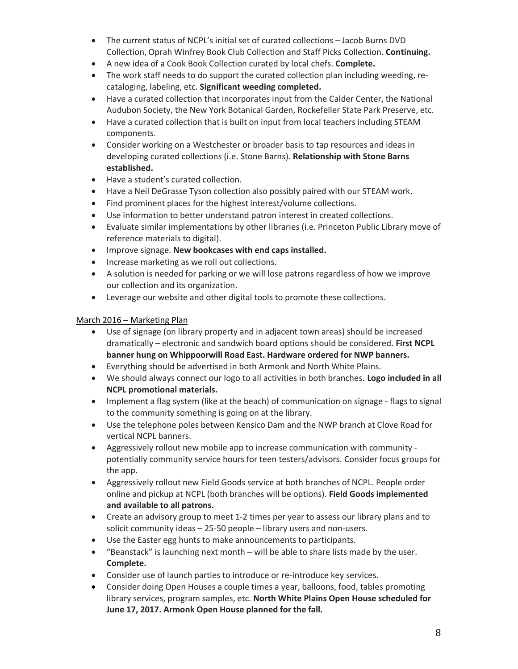- The current status of NCPL's initial set of curated collections Jacob Burns DVD Collection, Oprah Winfrey Book Club Collection and Staff Picks Collection. **Continuing.**
- A new idea of a Cook Book Collection curated by local chefs. **Complete.**
- The work staff needs to do support the curated collection plan including weeding, recataloging, labeling, etc. **Significant weeding completed.**
- Have a curated collection that incorporates input from the Calder Center, the National Audubon Society, the New York Botanical Garden, Rockefeller State Park Preserve, etc.
- Have a curated collection that is built on input from local teachers including STEAM components.
- Consider working on a Westchester or broader basis to tap resources and ideas in developing curated collections (i.e. Stone Barns). **Relationship with Stone Barns established.**
- Have a student's curated collection.
- Have a Neil DeGrasse Tyson collection also possibly paired with our STEAM work.
- Find prominent places for the highest interest/volume collections.
- Use information to better understand patron interest in created collections.
- Evaluate similar implementations by other libraries (i.e. Princeton Public Library move of reference materials to digital).
- Improve signage. **New bookcases with end caps installed.**
- Increase marketing as we roll out collections.
- A solution is needed for parking or we will lose patrons regardless of how we improve our collection and its organization.
- Leverage our website and other digital tools to promote these collections.

## March 2016 – Marketing Plan

- Use of signage (on library property and in adjacent town areas) should be increased dramatically – electronic and sandwich board options should be considered. **First NCPL banner hung on Whippoorwill Road East. Hardware ordered for NWP banners.**
- Everything should be advertised in both Armonk and North White Plains.
- We should always connect our logo to all activities in both branches. **Logo included in all NCPL promotional materials.**
- Implement a flag system (like at the beach) of communication on signage flags to signal to the community something is going on at the library.
- Use the telephone poles between Kensico Dam and the NWP branch at Clove Road for vertical NCPL banners.
- Aggressively rollout new mobile app to increase communication with community potentially community service hours for teen testers/advisors. Consider focus groups for the app.
- Aggressively rollout new Field Goods service at both branches of NCPL. People order online and pickup at NCPL (both branches will be options). **Field Goods implemented and available to all patrons.**
- Create an advisory group to meet 1-2 times per year to assess our library plans and to solicit community ideas – 25-50 people – library users and non-users.
- Use the Easter egg hunts to make announcements to participants.
- "Beanstack" is launching next month will be able to share lists made by the user. **Complete.**
- Consider use of launch parties to introduce or re-introduce key services.
- Consider doing Open Houses a couple times a year, balloons, food, tables promoting library services, program samples, etc. **North White Plains Open House scheduled for June 17, 2017. Armonk Open House planned for the fall.**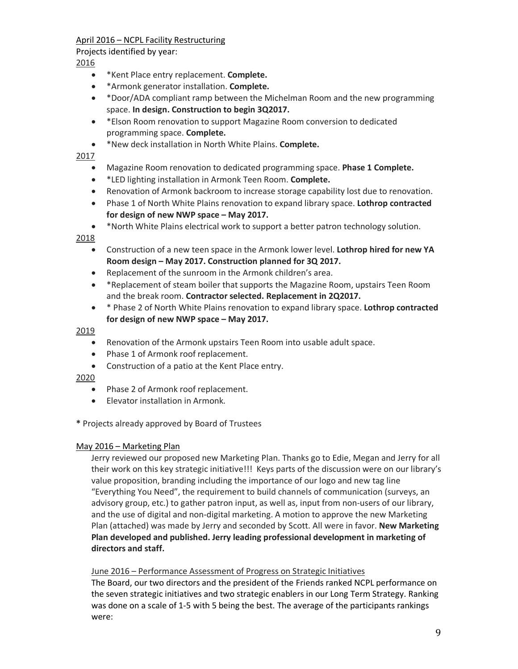## April 2016 – NCPL Facility Restructuring

Projects identified by year:

## 2016

- \*Kent Place entry replacement. **Complete.**
- \*Armonk generator installation. **Complete.**
- \*Door/ADA compliant ramp between the Michelman Room and the new programming space. **In design. Construction to begin 3Q2017.**
- \*Elson Room renovation to support Magazine Room conversion to dedicated programming space. **Complete.**
- \*New deck installation in North White Plains. **Complete.**

## 2017

- Magazine Room renovation to dedicated programming space. **Phase 1 Complete.**
- \*LED lighting installation in Armonk Teen Room. **Complete.**
- Renovation of Armonk backroom to increase storage capability lost due to renovation.
- Phase 1 of North White Plains renovation to expand library space. **Lothrop contracted for design of new NWP space – May 2017.**
- \*North White Plains electrical work to support a better patron technology solution.

## 2018

- Construction of a new teen space in the Armonk lower level. **Lothrop hired for new YA Room design – May 2017. Construction planned for 3Q 2017.**
- Replacement of the sunroom in the Armonk children's area.
- \*Replacement of steam boiler that supports the Magazine Room, upstairs Teen Room and the break room. **Contractor selected. Replacement in 2Q2017.**
- \* Phase 2 of North White Plains renovation to expand library space. **Lothrop contracted for design of new NWP space – May 2017.**

## 2019

- Renovation of the Armonk upstairs Teen Room into usable adult space.
- Phase 1 of Armonk roof replacement.
- Construction of a patio at the Kent Place entry.

## 2020

- Phase 2 of Armonk roof replacement.
- Elevator installation in Armonk.

## **\*** Projects already approved by Board of Trustees

## May 2016 – Marketing Plan

Jerry reviewed our proposed new Marketing Plan. Thanks go to Edie, Megan and Jerry for all their work on this key strategic initiative!!! Keys parts of the discussion were on our library's value proposition, branding including the importance of our logo and new tag line "Everything You Need", the requirement to build channels of communication (surveys, an advisory group, etc.) to gather patron input, as well as, input from non-users of our library, and the use of digital and non-digital marketing. A motion to approve the new Marketing Plan (attached) was made by Jerry and seconded by Scott. All were in favor. **New Marketing Plan developed and published. Jerry leading professional development in marketing of directors and staff.** 

## June 2016 – Performance Assessment of Progress on Strategic Initiatives

The Board, our two directors and the president of the Friends ranked NCPL performance on the seven strategic initiatives and two strategic enablers in our Long Term Strategy. Ranking was done on a scale of 1-5 with 5 being the best. The average of the participants rankings were: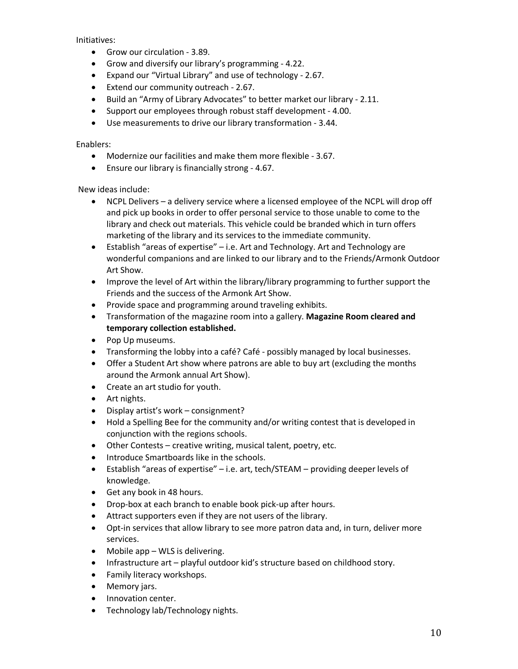Initiatives:

- Grow our circulation 3.89.
- Grow and diversify our library's programming 4.22.
- Expand our "Virtual Library" and use of technology 2.67.
- Extend our community outreach 2.67.
- Build an "Army of Library Advocates" to better market our library 2.11.
- Support our employees through robust staff development 4.00.
- Use measurements to drive our library transformation 3.44.

Enablers:

- Modernize our facilities and make them more flexible 3.67.
- Ensure our library is financially strong 4.67.

New ideas include:

- NCPL Delivers a delivery service where a licensed employee of the NCPL will drop off and pick up books in order to offer personal service to those unable to come to the library and check out materials. This vehicle could be branded which in turn offers marketing of the library and its services to the immediate community.
- Establish "areas of expertise" i.e. Art and Technology. Art and Technology are wonderful companions and are linked to our library and to the Friends/Armonk Outdoor Art Show.
- Improve the level of Art within the library/library programming to further support the Friends and the success of the Armonk Art Show.
- Provide space and programming around traveling exhibits.
- Transformation of the magazine room into a gallery. **Magazine Room cleared and temporary collection established.**
- Pop Up museums.
- Transforming the lobby into a café? Café possibly managed by local businesses.
- Offer a Student Art show where patrons are able to buy art (excluding the months around the Armonk annual Art Show).
- Create an art studio for youth.
- Art nights.
- Display artist's work consignment?
- Hold a Spelling Bee for the community and/or writing contest that is developed in conjunction with the regions schools.
- Other Contests creative writing, musical talent, poetry, etc.
- Introduce Smartboards like in the schools.
- Establish "areas of expertise" i.e. art, tech/STEAM providing deeper levels of knowledge.
- Get any book in 48 hours.
- Drop-box at each branch to enable book pick-up after hours.
- Attract supporters even if they are not users of the library.
- Opt-in services that allow library to see more patron data and, in turn, deliver more services.
- Mobile app WLS is delivering.
- Infrastructure art playful outdoor kid's structure based on childhood story.
- Family literacy workshops.
- Memory jars.
- Innovation center.
- Technology lab/Technology nights.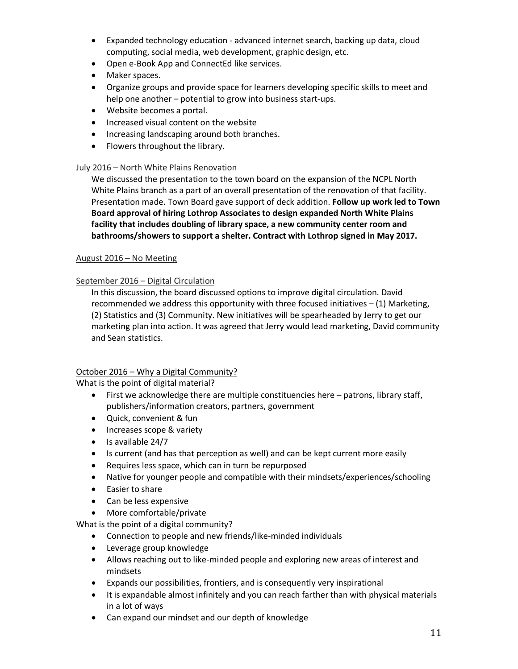- Expanded technology education advanced internet search, backing up data, cloud computing, social media, web development, graphic design, etc.
- Open e-Book App and ConnectEd like services.
- Maker spaces.
- Organize groups and provide space for learners developing specific skills to meet and help one another – potential to grow into business start-ups.
- Website becomes a portal.
- Increased visual content on the website
- Increasing landscaping around both branches.
- Flowers throughout the library.

## July 2016 – North White Plains Renovation

We discussed the presentation to the town board on the expansion of the NCPL North White Plains branch as a part of an overall presentation of the renovation of that facility. Presentation made. Town Board gave support of deck addition. **Follow up work led to Town Board approval of hiring Lothrop Associates to design expanded North White Plains facility that includes doubling of library space, a new community center room and bathrooms/showers to support a shelter. Contract with Lothrop signed in May 2017.**

## August 2016 – No Meeting

## September 2016 – Digital Circulation

In this discussion, the board discussed options to improve digital circulation. David recommended we address this opportunity with three focused initiatives  $- (1)$  Marketing, (2) Statistics and (3) Community. New initiatives will be spearheaded by Jerry to get our marketing plan into action. It was agreed that Jerry would lead marketing, David community and Sean statistics.

## October 2016 – Why a Digital Community?

What is the point of digital material?

- First we acknowledge there are multiple constituencies here patrons, library staff, publishers/information creators, partners, government
- Quick, convenient & fun
- Increases scope & variety
- Is available 24/7
- Is current (and has that perception as well) and can be kept current more easily
- Requires less space, which can in turn be repurposed
- Native for younger people and compatible with their mindsets/experiences/schooling
- Easier to share
- Can be less expensive
- More comfortable/private

What is the point of a digital community?

- Connection to people and new friends/like-minded individuals
- Leverage group knowledge
- Allows reaching out to like-minded people and exploring new areas of interest and mindsets
- Expands our possibilities, frontiers, and is consequently very inspirational
- It is expandable almost infinitely and you can reach farther than with physical materials in a lot of ways
- Can expand our mindset and our depth of knowledge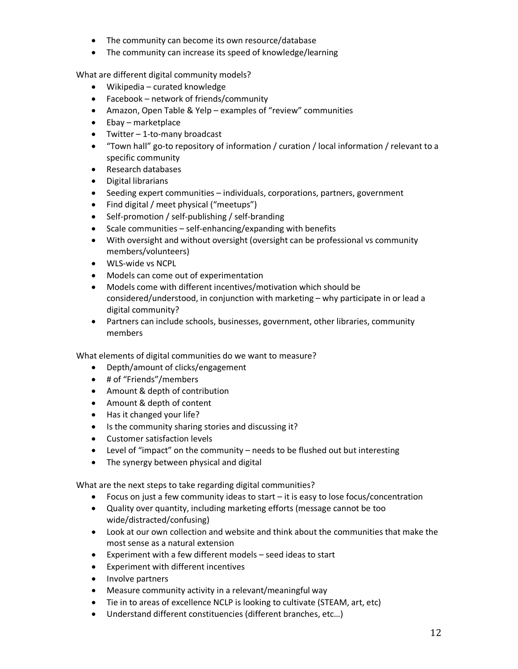- The community can become its own resource/database
- The community can increase its speed of knowledge/learning

What are different digital community models?

- Wikipedia curated knowledge
- Facebook network of friends/community
- Amazon, Open Table & Yelp examples of "review" communities
- Ebay marketplace
- Twitter 1-to-many broadcast
- "Town hall" go-to repository of information / curation / local information / relevant to a specific community
- Research databases
- Digital librarians
- Seeding expert communities individuals, corporations, partners, government
- Find digital / meet physical ("meetups")
- Self-promotion / self-publishing / self-branding
- Scale communities self-enhancing/expanding with benefits
- With oversight and without oversight (oversight can be professional vs community members/volunteers)
- WLS-wide vs NCPL
- Models can come out of experimentation
- Models come with different incentives/motivation which should be considered/understood, in conjunction with marketing – why participate in or lead a digital community?
- Partners can include schools, businesses, government, other libraries, community members

What elements of digital communities do we want to measure?

- Depth/amount of clicks/engagement
- # of "Friends"/members
- Amount & depth of contribution
- Amount & depth of content
- Has it changed your life?
- Is the community sharing stories and discussing it?
- Customer satisfaction levels
- Level of "impact" on the community needs to be flushed out but interesting
- The synergy between physical and digital

What are the next steps to take regarding digital communities?

- Focus on just a few community ideas to start it is easy to lose focus/concentration
- Quality over quantity, including marketing efforts (message cannot be too wide/distracted/confusing)
- Look at our own collection and website and think about the communities that make the most sense as a natural extension
- Experiment with a few different models seed ideas to start
- Experiment with different incentives
- Involve partners
- Measure community activity in a relevant/meaningful way
- Tie in to areas of excellence NCLP is looking to cultivate (STEAM, art, etc)
- Understand different constituencies (different branches, etc…)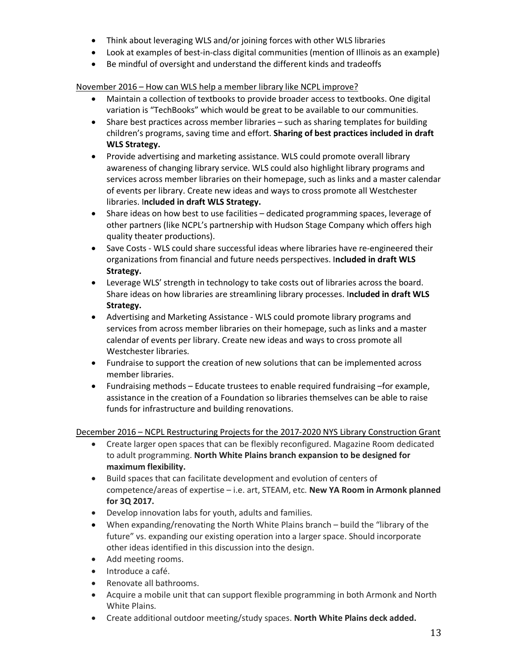- Think about leveraging WLS and/or joining forces with other WLS libraries
- Look at examples of best-in-class digital communities (mention of Illinois as an example)
- Be mindful of oversight and understand the different kinds and tradeoffs

November 2016 – How can WLS help a member library like NCPL improve?

- Maintain a collection of textbooks to provide broader access to textbooks. One digital variation is "TechBooks" which would be great to be available to our communities.
- Share best practices across member libraries such as sharing templates for building children's programs, saving time and effort. **Sharing of best practices included in draft WLS Strategy.**
- Provide advertising and marketing assistance. WLS could promote overall library awareness of changing library service. WLS could also highlight library programs and services across member libraries on their homepage, such as links and a master calendar of events per library. Create new ideas and ways to cross promote all Westchester libraries. I**ncluded in draft WLS Strategy.**
- Share ideas on how best to use facilities dedicated programming spaces, leverage of other partners (like NCPL's partnership with Hudson Stage Company which offers high quality theater productions).
- Save Costs WLS could share successful ideas where libraries have re-engineered their organizations from financial and future needs perspectives. I**ncluded in draft WLS Strategy.**
- Leverage WLS' strength in technology to take costs out of libraries across the board. Share ideas on how libraries are streamlining library processes. I**ncluded in draft WLS Strategy.**
- Advertising and Marketing Assistance WLS could promote library programs and services from across member libraries on their homepage, such as links and a master calendar of events per library. Create new ideas and ways to cross promote all Westchester libraries.
- Fundraise to support the creation of new solutions that can be implemented across member libraries.
- Fundraising methods Educate trustees to enable required fundraising –for example, assistance in the creation of a Foundation so libraries themselves can be able to raise funds for infrastructure and building renovations.

December 2016 – NCPL Restructuring Projects for the 2017-2020 NYS Library Construction Grant

- Create larger open spaces that can be flexibly reconfigured. Magazine Room dedicated to adult programming. **North White Plains branch expansion to be designed for maximum flexibility.**
- Build spaces that can facilitate development and evolution of centers of competence/areas of expertise – i.e. art, STEAM, etc. **New YA Room in Armonk planned for 3Q 2017.**
- Develop innovation labs for youth, adults and families.
- When expanding/renovating the North White Plains branch build the "library of the future" vs. expanding our existing operation into a larger space. Should incorporate other ideas identified in this discussion into the design.
- Add meeting rooms.
- Introduce a café.
- Renovate all bathrooms.
- Acquire a mobile unit that can support flexible programming in both Armonk and North White Plains.
- Create additional outdoor meeting/study spaces. **North White Plains deck added.**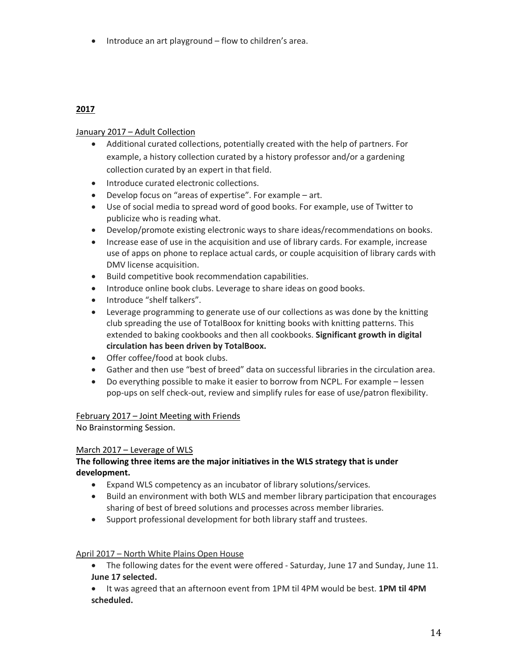• Introduce an art playground – flow to children's area.

# **2017**

## January 2017 – Adult Collection

- Additional curated collections, potentially created with the help of partners. For example, a history collection curated by a history professor and/or a gardening collection curated by an expert in that field.
- Introduce curated electronic collections.
- Develop focus on "areas of expertise". For example art.
- Use of social media to spread word of good books. For example, use of Twitter to publicize who is reading what.
- Develop/promote existing electronic ways to share ideas/recommendations on books.
- Increase ease of use in the acquisition and use of library cards. For example, increase use of apps on phone to replace actual cards, or couple acquisition of library cards with DMV license acquisition.
- Build competitive book recommendation capabilities.
- Introduce online book clubs. Leverage to share ideas on good books.
- Introduce "shelf talkers".
- Leverage programming to generate use of our collections as was done by the knitting club spreading the use of TotalBoox for knitting books with knitting patterns. This extended to baking cookbooks and then all cookbooks. **Significant growth in digital circulation has been driven by TotalBoox.**
- Offer coffee/food at book clubs.
- Gather and then use "best of breed" data on successful libraries in the circulation area.
- Do everything possible to make it easier to borrow from NCPL. For example lessen pop-ups on self check-out, review and simplify rules for ease of use/patron flexibility.

## February 2017 – Joint Meeting with Friends

No Brainstorming Session.

## March 2017 – Leverage of WLS

## **The following three items are the major initiatives in the WLS strategy that is under development.**

- Expand WLS competency as an incubator of library solutions/services.
- Build an environment with both WLS and member library participation that encourages sharing of best of breed solutions and processes across member libraries.
- Support professional development for both library staff and trustees.

## April 2017 – North White Plains Open House

- The following dates for the event were offered Saturday, June 17 and Sunday, June 11. **June 17 selected.**
- It was agreed that an afternoon event from 1PM til 4PM would be best. **1PM til 4PM scheduled.**